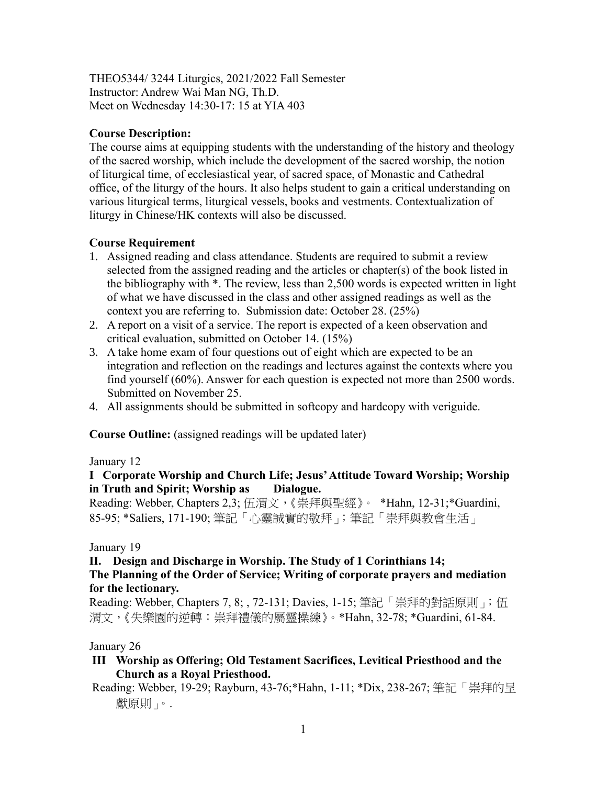THEO5344/ 3244 Liturgics, 2021/2022 Fall Semester Instructor: Andrew Wai Man NG, Th.D. Meet on Wednesday 14:30-17: 15 at YIA 403

# **Course Description:**

The course aims at equipping students with the understanding of the history and theology of the sacred worship, which include the development of the sacred worship, the notion of liturgical time, of ecclesiastical year, of sacred space, of Monastic and Cathedral office, of the liturgy of the hours. It also helps student to gain a critical understanding on various liturgical terms, liturgical vessels, books and vestments. Contextualization of liturgy in Chinese/HK contexts will also be discussed.

# **Course Requirement**

- 1. Assigned reading and class attendance. Students are required to submit a review selected from the assigned reading and the articles or chapter(s) of the book listed in the bibliography with \*. The review, less than 2,500 words is expected written in light of what we have discussed in the class and other assigned readings as well as the context you are referring to. Submission date: October 28. (25%)
- 2. A report on a visit of a service. The report is expected of a keen observation and critical evaluation, submitted on October 14. (15%)
- 3. A take home exam of four questions out of eight which are expected to be an integration and reflection on the readings and lectures against the contexts where you find yourself (60%). Answer for each question is expected not more than 2500 words. Submitted on November 25.
- 4. All assignments should be submitted in softcopy and hardcopy with veriguide.

**Course Outline:** (assigned readings will be updated later)

### January 12

### **I Corporate Worship and Church Life; Jesus' Attitude Toward Worship; Worship in Truth and Spirit; Worship as Dialogue.**

Reading: Webber, Chapters 2,3; 伍渭文,《崇拜與聖經》。 \*Hahn, 12-31; \*Guardini, 85-95; \*Saliers, 171-190; 筆記「心靈誠實的敬拜」;筆記「崇拜與教會生活」

### January 19

### **II. Design and Discharge in Worship. The Study of 1 Corinthians 14;**

# **The Planning of the Order of Service; Writing of corporate prayers and mediation for the lectionary.**

Reading: Webber, Chapters 7, 8;, 72-131; Davies, 1-15; 筆記「崇拜的對話原則」;伍 渭文,《失樂園的逆轉:崇拜禮儀的屬靈操練》。\*Hahn, 32-78; \*Guardini, 61-84.

### January 26

- **III Worship as Offering; Old Testament Sacrifices, Levitical Priesthood and the Church as a Royal Priesthood.**
- Reading: Webber, 19-29; Rayburn, 43-76;\*Hahn, 1-11; \*Dix, 238-267; 筆記「崇拜的呈 獻原則」。.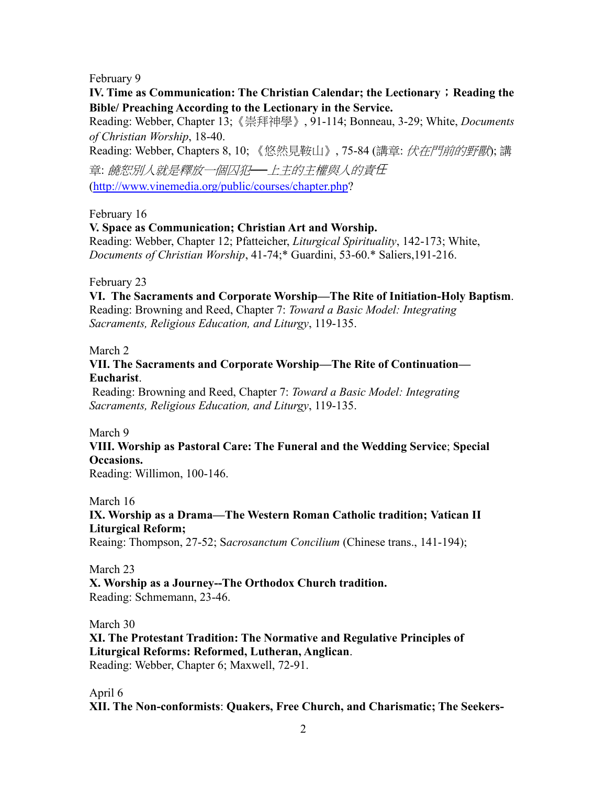February 9

**IV.** Time as Communication: The Christian Calendar; the Lectionary; Reading the **Bible/ Preaching According to the Lectionary in the Service.**

Reading: Webber, Chapter 13;《崇拜神學》, 91-114; Bonneau, 3-29; White, *Documents of Christian Worship*, 18-40.

Reading: Webber, Chapters 8, 10; 《悠然見鞍山》, 75-84 (講章: *伏在門前的野獸*); 講

章: 饒恕別人就是釋放一個囚犯*──*上主的主權與人的責任 [\(http://www.vinemedia.org/public/courses/chapter.php?](http://www.vinemedia.org/public/courses/chapter.php)

# February 16

# **V. Space as Communication; Christian Art and Worship.**

Reading: Webber, Chapter 12; Pfatteicher, *Liturgical Spirituality*, 142-173; White, *Documents of Christian Worship*, 41-74;\* Guardini, 53-60.\* Saliers,191-216.

February 23

**VI. The Sacraments and Corporate Worship—The Rite of Initiation-Holy Baptism**. Reading: Browning and Reed, Chapter 7: *Toward a Basic Model: Integrating Sacraments, Religious Education, and Liturgy*, 119-135.

### March 2

## **VII. The Sacraments and Corporate Worship—The Rite of Continuation— Eucharist**.

Reading: Browning and Reed, Chapter 7: *Toward a Basic Model: Integrating Sacraments, Religious Education, and Liturgy*, 119-135.

March 9

# **VIII. Worship as Pastoral Care: The Funeral and the Wedding Service**; **Special Occasions.**

Reading: Willimon, 100-146.

March 16

# **IX. Worship as a Drama—The Western Roman Catholic tradition; Vatican II Liturgical Reform;**

Reaing: Thompson, 27-52; S*acrosanctum Concilium* (Chinese trans., 141-194);

March 23

**X. Worship as a Journey--The Orthodox Church tradition.**  Reading: Schmemann, 23-46.

March 30

**XI. The Protestant Tradition: The Normative and Regulative Principles of Liturgical Reforms: Reformed, Lutheran, Anglican**. Reading: Webber, Chapter 6; Maxwell, 72-91.

April 6

**XII. The Non-conformists**: **Quakers, Free Church, and Charismatic; The Seekers-**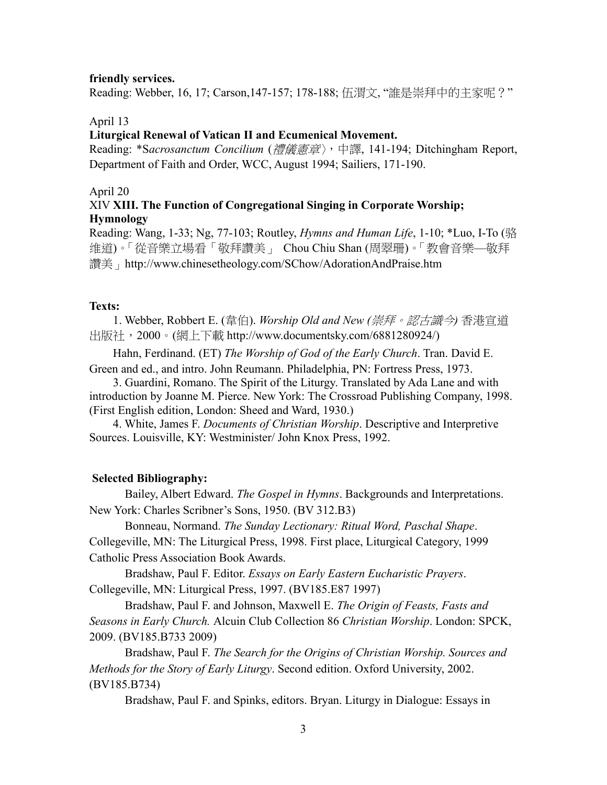#### **friendly services.**

Reading: Webber, 16, 17; Carson,147-157; 178-188; 伍渭文, "誰是崇拜中的主家呢?"

#### April 13

#### **Liturgical Renewal of Vatican II and Ecumenical Movement.**

Reading: \*S*acrosanctum Concilium* (禮儀憲章〉,中譯, 141-194; Ditchingham Report, Department of Faith and Order, WCC, August 1994; Sailiers, 171-190.

#### April 20

### XIV **XIII. The Function of Congregational Singing in Corporate Worship; Hymnology**

Reading: Wang, 1-33; Ng, 77-103; Routley, *Hymns and Human Life*, 1-10; \*Luo, I-To (骆 维道)。「從音樂立場看「敬拜讚美」 Chou Chiu Shan (周翠珊)。「教會音樂—敬拜 讚美」http://www.chinesetheology.com/SChow/AdorationAndPraise.htm

#### **Texts:**

1. Webber, Robbert E. (韋伯). *Worship Old and New (*崇拜。認古識今*)* 香港宣道 出版社,2000。(網上下載 http://www.documentsky.com/6881280924/)

 Hahn, Ferdinand. (ET) *The Worship of God of the Early Church*. Tran. David E. Green and ed., and intro. John Reumann. Philadelphia, PN: Fortress Press, 1973.

3. Guardini, Romano. The Spirit of the Liturgy. Translated by Ada Lane and with introduction by Joanne M. Pierce. New York: The Crossroad Publishing Company, 1998. (First English edition, London: Sheed and Ward, 1930.)

4. White, James F. *Documents of Christian Worship*. Descriptive and Interpretive Sources. Louisville, KY: Westminister/ John Knox Press, 1992.

#### **Selected Bibliography:**

Bailey, Albert Edward. *The Gospel in Hymns*. Backgrounds and Interpretations. New York: Charles Scribner's Sons, 1950. (BV 312.B3)

Bonneau, Normand. *The Sunday Lectionary: Ritual Word, Paschal Shape*. Collegeville, MN: The Liturgical Press, 1998. First place, Liturgical Category, 1999 Catholic Press Association Book Awards.

Bradshaw, Paul F. Editor. *Essays on Early Eastern Eucharistic Prayers*. Collegeville, MN: Liturgical Press, 1997. (BV185.E87 1997)

Bradshaw, Paul F. and Johnson, Maxwell E. *The Origin of Feasts, Fasts and Seasons in Early Church.* Alcuin Club Collection 86 *Christian Worship*. London: SPCK, 2009. (BV185.B733 2009)

Bradshaw, Paul F. *The Search for the Origins of Christian Worship. Sources and Methods for the Story of Early Liturgy*. Second edition. Oxford University, 2002. (BV185.B734)

Bradshaw, Paul F. and Spinks, editors. Bryan. Liturgy in Dialogue: Essays in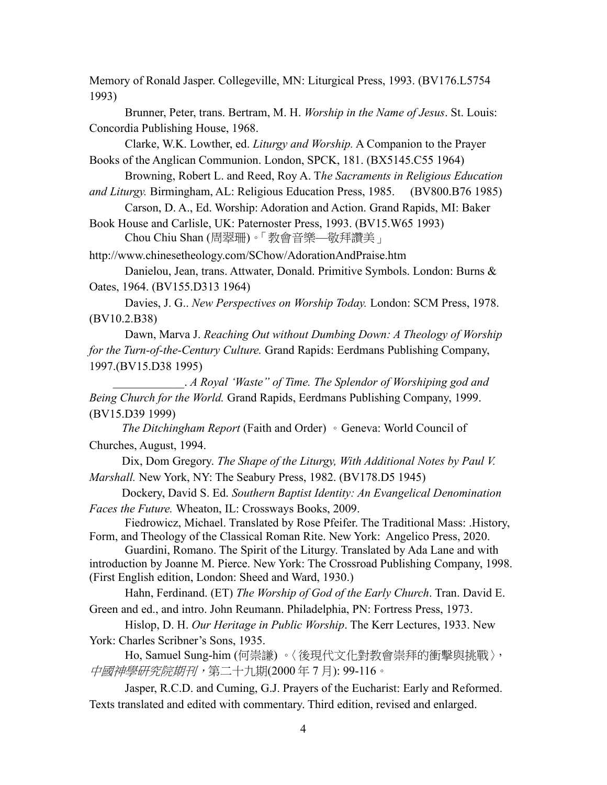Memory of Ronald Jasper. Collegeville, MN: Liturgical Press, 1993. (BV176.L5754 1993)

Brunner, Peter, trans. Bertram, M. H. *Worship in the Name of Jesus*. St. Louis: Concordia Publishing House, 1968.

Clarke, W.K. Lowther, ed. *Liturgy and Worship.* A Companion to the Prayer Books of the Anglican Communion. London, SPCK, 181. (BX5145.C55 1964)

Browning, Robert L. and Reed, Roy A. T*he Sacraments in Religious Education and Liturgy.* Birmingham, AL: Religious Education Press, 1985. (BV800.B76 1985)

Carson, D. A., Ed. Worship: Adoration and Action. Grand Rapids, MI: Baker

Book House and Carlisle, UK: Paternoster Press, 1993. (BV15.W65 1993) Chou Chiu Shan (周翠珊)。「教會音樂—敬拜讚美」

http://www.chinesetheology.com/SChow/AdorationAndPraise.htm

Danielou, Jean, trans. Attwater, Donald. Primitive Symbols. London: Burns & Oates, 1964. (BV155.D313 1964)

 Davies, J. G.. *New Perspectives on Worship Today.* London: SCM Press, 1978. (BV10.2.B38)

Dawn, Marva J. *Reaching Out without Dumbing Down: A Theology of Worship for the Turn-of-the-Century Culture.* Grand Rapids: Eerdmans Publishing Company, 1997.(BV15.D38 1995)

\_\_\_\_\_\_\_\_\_\_\_\_. *A Royal 'Waste" of Time. The Splendor of Worshiping god and Being Church for the World.* Grand Rapids, Eerdmans Publishing Company, 1999. (BV15.D39 1999)

 *The Ditchingham Report* (Faith and Order) 。Geneva: World Council of Churches, August, 1994.

Dix, Dom Gregory. *The Shape of the Liturgy, With Additional Notes by Paul V. Marshall.* New York, NY: The Seabury Press, 1982. (BV178.D5 1945)

Dockery, David S. Ed. *Southern Baptist Identity: An Evangelical Denomination Faces the Future.* Wheaton, IL: Crossways Books, 2009.

Fiedrowicz, Michael. Translated by Rose Pfeifer. The Traditional Mass: .History, Form, and Theology of the Classical Roman Rite. New York: Angelico Press, 2020.

Guardini, Romano. The Spirit of the Liturgy. Translated by Ada Lane and with introduction by Joanne M. Pierce. New York: The Crossroad Publishing Company, 1998. (First English edition, London: Sheed and Ward, 1930.)

 Hahn, Ferdinand. (ET) *The Worship of God of the Early Church*. Tran. David E. Green and ed., and intro. John Reumann. Philadelphia, PN: Fortress Press, 1973.

Hislop, D. H. *Our Heritage in Public Worship*. The Kerr Lectures, 1933. New York: Charles Scribner's Sons, 1935.

Ho, Samuel Sung-him (何崇謙) 。〈後現代文化對教會崇拜的衝擊與挑戰〉, 中國神學研究院期刊,第二十九期(2000 年 7 月): 99-116。

Jasper, R.C.D. and Cuming, G.J. Prayers of the Eucharist: Early and Reformed. Texts translated and edited with commentary. Third edition, revised and enlarged.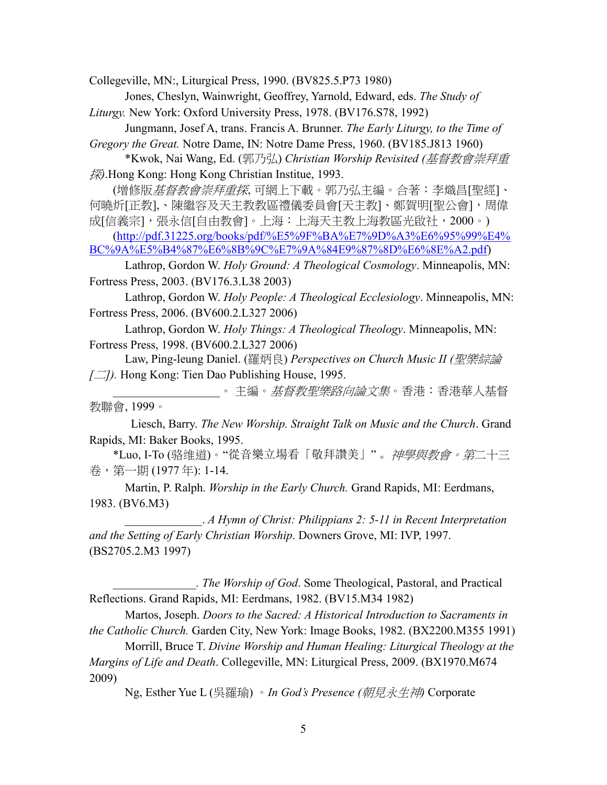Collegeville, MN:, Liturgical Press, 1990. (BV825.5.P73 1980)

Jones, Cheslyn, Wainwright, Geoffrey, Yarnold, Edward, eds. *The Study of Liturgy.* New York: Oxford University Press, 1978. (BV176.S78, 1992)

Jungmann, Josef A, trans. Francis A. Brunner. *The Early Liturgy, to the Time of Gregory the Great.* Notre Dame, IN: Notre Dame Press, 1960. (BV185.J813 1960)

\*Kwok, Nai Wang, Ed. (郭乃弘) *Christian Worship Revisited (*基督教會崇拜重 探*)*.Hong Kong: Hong Kong Christian Institue, 1993.

(增修版*基督教會崇拜重探*, 可網上下載。郭乃弘主編。合著:李熾昌[聖經]、 何曉炘[正教],、陳繼容及天主教教區禮儀委員會[天主教]、鄭賀明[聖公會],周偉 成[信義宗],張永信[自由教會]。上海:上海天主教上海教區光啟社,2000。)

[\(http://pdf.31225.org/books/pdf/%E5%9F%BA%E7%9D%A3%E6%95%99%E4%](http://pdf.31225.org/books/pdf/%E5%9F%BA%E7%9D%A3%E6%95%99%E4%BC%9A%E5%B4%87%E6%8B%9C%E7%9A%84E9%87%8D%E6%8E%A2.pdf) [BC%9A%E5%B4%87%E6%8B%9C%E7%9A%84E9%87%8D%E6%8E%A2.pdf\)](http://pdf.31225.org/books/pdf/%E5%9F%BA%E7%9D%A3%E6%95%99%E4%BC%9A%E5%B4%87%E6%8B%9C%E7%9A%84E9%87%8D%E6%8E%A2.pdf)

Lathrop, Gordon W. *Holy Ground: A Theological Cosmology*. Minneapolis, MN: Fortress Press, 2003. (BV176.3.L38 2003)

Lathrop, Gordon W. *Holy People: A Theological Ecclesiology*. Minneapolis, MN: Fortress Press, 2006. (BV600.2.L327 2006)

Lathrop, Gordon W. *Holy Things: A Theological Theology*. Minneapolis, MN: Fortress Press, 1998. (BV600.2.L327 2006)

Law, Ping-leung Daniel. (羅炳良) *Perspectives on Church Music II (*聖樂綜論 *[*二*]).* Hong Kong: Tien Dao Publishing House, 1995.

。主編。*基督教聖樂路向論文集*。 香港: 香港華人基督 教聯會, 1999。

 Liesch, Barry. *The New Worship. Straight Talk on Music and the Church*. Grand Rapids, MI: Baker Books, 1995.

\*Luo, I-To (骆维道)。"從音樂立場看「敬拜讚美」"。神學與教會。第二十三 卷,第一期 (1977 年): 1-14.

Martin, P. Ralph. *Worship in the Early Church.* Grand Rapids, MI: Eerdmans, 1983. (BV6.M3)

\_\_\_\_\_\_\_\_\_\_\_\_\_. *A Hymn of Christ: Philippians 2: 5-11 in Recent Interpretation and the Setting of Early Christian Worship*. Downers Grove, MI: IVP, 1997. (BS2705.2.M3 1997)

*\_\_\_\_\_\_\_\_\_\_\_\_\_\_. The Worship of God*. Some Theological, Pastoral, and Practical Reflections. Grand Rapids, MI: Eerdmans, 1982. (BV15.M34 1982)

Martos, Joseph. *Doors to the Sacred: A Historical Introduction to Sacraments in the Catholic Church.* Garden City, New York: Image Books, 1982. (BX2200.M355 1991)

Morrill, Bruce T. *Divine Worship and Human Healing: Liturgical Theology at the Margins of Life and Death*. Collegeville, MN: Liturgical Press, 2009. (BX1970.M674 2009)

Ng, Esther Yue L (吳羅瑜) 。*In God's Presence (*朝見永生神*)* Corporate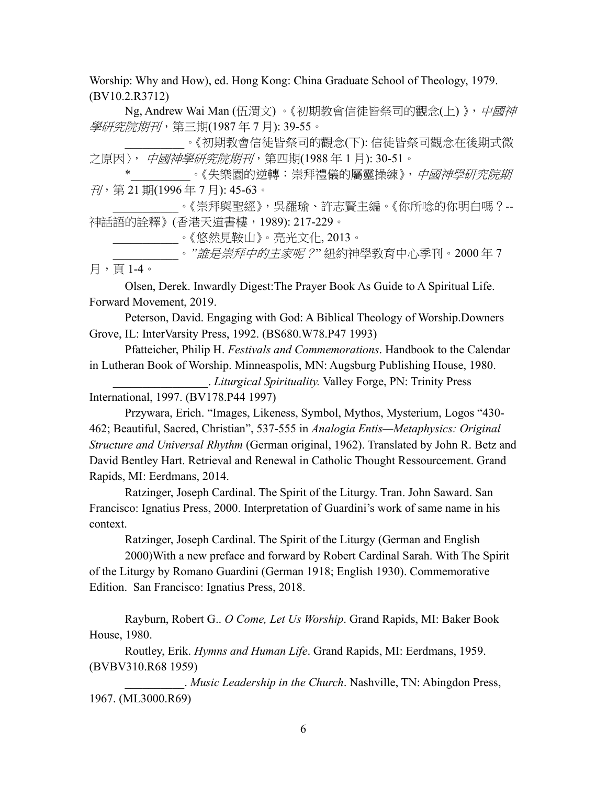Worship: Why and How), ed. Hong Kong: China Graduate School of Theology, 1979. (BV10.2.R3712)

Ng, Andrew Wai Man (伍渭文)。《初期教會信徒皆祭司的觀念(上)》, 中國神 學研究院期刊, 第三期(1987年7月): 39-55。

\_\_\_\_\_\_\_\_\_\_。《初期教會信徒皆祭司的觀念(下): 信徒皆祭司觀念在後期式微 之原因〉,中國神學研究院期刊,第四期(1988年1月): 30-51。

。《失樂園的逆轉:崇拜禮儀的屬靈操練》,*中國神學研究院期* 刊,第 21 期(1996 年 7 月): 45-63。

\_\_\_\_\_\_\_\_\_\_\_。《崇拜與聖經》,吳羅瑜、許志賢主編。《你所唸的你明白嗎?-- 神話語的詮釋》(香港天道書樓,1989): 217-229。

\_\_\_\_\_\_\_\_\_\_\_。《悠然見鞍山》。亮光文化, 2013。

\_\_\_\_\_\_\_\_\_\_\_。*"*誰是崇拜中的主家呢?" 紐約神學教育中心季刊。2000 年 7 月,頁 1-4。

Olsen, Derek. Inwardly Digest:The Prayer Book As Guide to A Spiritual Life. Forward Movement, 2019.

Peterson, David. Engaging with God: A Biblical Theology of Worship.Downers Grove, IL: InterVarsity Press, 1992. (BS680.W78.P47 1993)

Pfatteicher, Philip H. *Festivals and Commemorations*. Handbook to the Calendar in Lutheran Book of Worship. Minneaspolis, MN: Augsburg Publishing House, 1980. \_\_\_\_\_\_\_\_\_\_\_\_\_\_\_\_. *Liturgical Spirituality.* Valley Forge, PN: Trinity Press International, 1997. (BV178.P44 1997)

Przywara, Erich. "Images, Likeness, Symbol, Mythos, Mysterium, Logos "430- 462; Beautiful, Sacred, Christian", 537-555 in *Analogia Entis—Metaphysics: Original Structure and Universal Rhythm* (German original, 1962). Translated by John R. Betz and David Bentley Hart. Retrieval and Renewal in Catholic Thought Ressourcement. Grand Rapids, MI: Eerdmans, 2014.

Ratzinger, Joseph Cardinal. The Spirit of the Liturgy. Tran. John Saward. San Francisco: Ignatius Press, 2000. Interpretation of Guardini's work of same name in his context.

Ratzinger, Joseph Cardinal. The Spirit of the Liturgy (German and English

2000)With a new preface and forward by Robert Cardinal Sarah. With The Spirit of the Liturgy by Romano Guardini (German 1918; English 1930). Commemorative Edition. San Francisco: Ignatius Press, 2018.

Rayburn, Robert G.. *O Come, Let Us Worship*. Grand Rapids, MI: Baker Book House, 1980.

Routley, Erik. *Hymns and Human Life*. Grand Rapids, MI: Eerdmans, 1959. (BVBV310.R68 1959)

\_\_\_\_\_\_\_\_\_\_. *Music Leadership in the Church*. Nashville, TN: Abingdon Press, 1967. (ML3000.R69)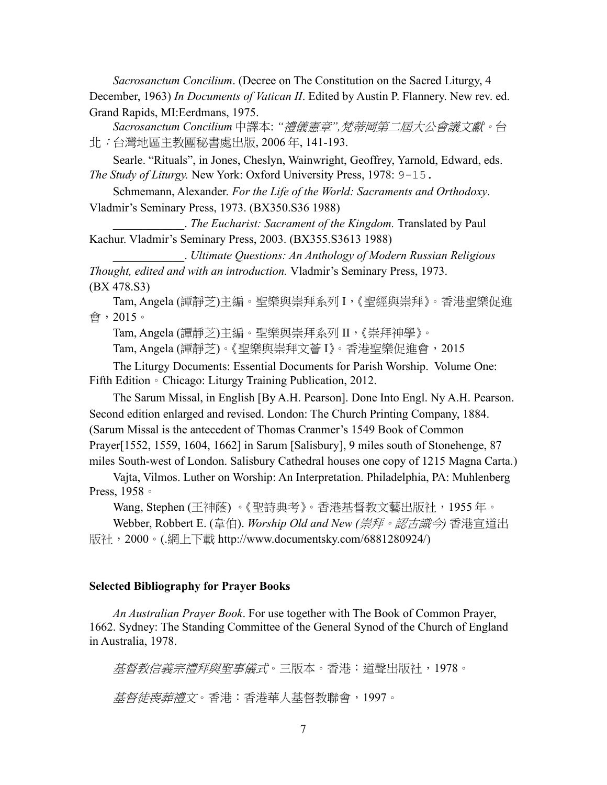*Sacrosanctum Concilium*. (Decree on The Constitution on the Sacred Liturgy, 4 December, 1963) *In Documents of Vatican II*. Edited by Austin P. Flannery. New rev. ed. Grand Rapids, MI:Eerdmans, 1975.

*Sacrosanctum Concilium* 中譯本: *"*禮儀憲章*",*梵蒂岡第二屆大公會議文獻。台 北:台灣地區主教團秘書處出版, 2006 年, 141-193.

Searle. "Rituals", in Jones, Cheslyn, Wainwright, Geoffrey, Yarnold, Edward, eds. *The Study of Liturgy.* New York: Oxford University Press, 1978: 9-15.

Schmemann, Alexander. *For the Life of the World: Sacraments and Orthodoxy*. Vladmir's Seminary Press, 1973. (BX350.S36 1988)

\_\_\_\_\_\_\_\_\_\_\_\_. *The Eucharist: Sacrament of the Kingdom.* Translated by Paul Kachur. Vladmir's Seminary Press, 2003. (BX355.S3613 1988)

\_\_\_\_\_\_\_\_\_\_\_\_. *Ultimate Questions: An Anthology of Modern Russian Religious Thought, edited and with an introduction.* Vladmir's Seminary Press, 1973. (BX 478.S3)

Tam, Angela (譚靜芝)主編。聖樂與崇拜系列 I,《聖經與崇拜》。香港聖樂促進 會,2015。

Tam, Angela (譚靜芝)主編。聖樂與崇拜系列 II, 《崇拜神學》。

Tam, Angela (譚靜芝)。《聖樂與崇拜文薈 I》。香港聖樂促進會,2015

The Liturgy Documents: Essential Documents for Parish Worship. Volume One: Fifth Edition。Chicago: Liturgy Training Publication, 2012.

The Sarum Missal, in English [By A.H. Pearson]. Done Into Engl. Ny A.H. Pearson. Second edition enlarged and revised. London: The Church Printing Company, 1884. (Sarum Missal is the antecedent of Thomas Cranmer's 1549 Book of Common Prayer[1552, 1559, 1604, 1662] in Sarum [Salisbury], 9 miles south of Stonehenge, 87 miles South-west of London. Salisbury Cathedral houses one copy of 1215 Magna Carta.)

Vajta, Vilmos. Luther on Worship: An Interpretation. Philadelphia, PA: Muhlenberg Press, 1958。

Wang, Stephen (王神蔭) 。《聖詩典考》。香港基督教文藝出版社,1955 年。

Webber, Robbert E. (韋伯). *Worship Old and New (*崇拜。認古識今*)* 香港宣道出 版社, 2000。(.網上下載 http://www.documentsky.com/6881280924/)

#### **Selected Bibliography for Prayer Books**

*An Australian Prayer Book*. For use together with The Book of Common Prayer, 1662. Sydney: The Standing Committee of the General Synod of the Church of England in Australia, 1978.

基督教信義宗禮拜與聖事儀式。三版本。香港:道聲出版社,1978。

基督徒喪葬禮文。香港:香港華人基督教聯會,1997。